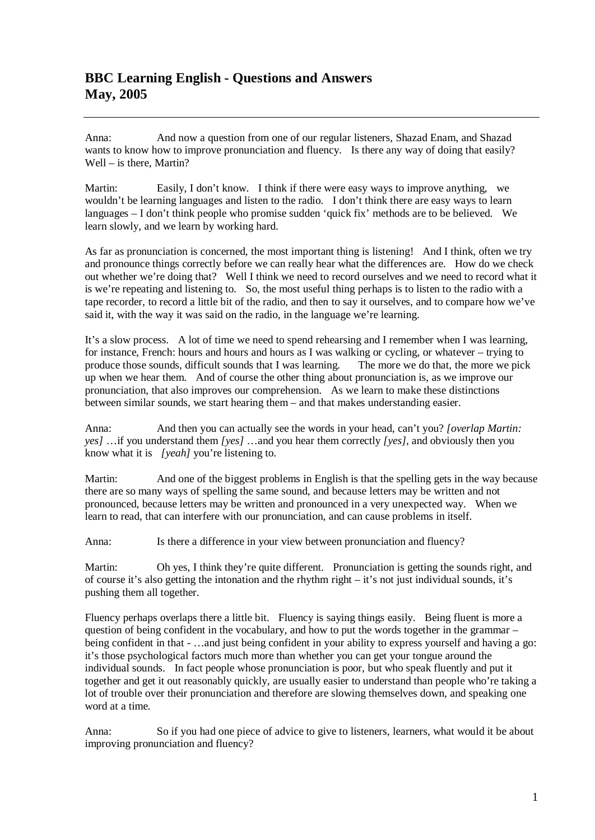## **BBC Learning English - Questions and Answers May, 2005**

Anna: And now a question from one of our regular listeners, Shazad Enam, and Shazad wants to know how to improve pronunciation and fluency. Is there any way of doing that easily? Well – is there, Martin?

Martin: Easily, I don't know. I think if there were easy ways to improve anything, we wouldn't be learning languages and listen to the radio. I don't think there are easy ways to learn languages – I don't think people who promise sudden 'quick fix' methods are to be believed. We learn slowly, and we learn by working hard.

As far as pronunciation is concerned, the most important thing is listening! And I think, often we try and pronounce things correctly before we can really hear what the differences are. How do we check out whether we're doing that? Well I think we need to record ourselves and we need to record what it is we're repeating and listening to. So, the most useful thing perhaps is to listen to the radio with a tape recorder, to record a little bit of the radio, and then to say it ourselves, and to compare how we've said it, with the way it was said on the radio, in the language we're learning.

It's a slow process. A lot of time we need to spend rehearsing and I remember when I was learning, for instance, French: hours and hours and hours as I was walking or cycling, or whatever – trying to produce those sounds, difficult sounds that I was learning. The more we do that, the more we pick up when we hear them. And of course the other thing about pronunciation is, as we improve our pronunciation, that also improves our comprehension. As we learn to make these distinctions between similar sounds, we start hearing them – and that makes understanding easier.

Anna: And then you can actually see the words in your head, can't you? *[overlap Martin: yes]* …if you understand them *[yes]* …and you hear them correctly *[yes]*, and obviously then you know what it is *[yeah]* you're listening to.

Martin: And one of the biggest problems in English is that the spelling gets in the way because there are so many ways of spelling the same sound, and because letters may be written and not pronounced, because letters may be written and pronounced in a very unexpected way. When we learn to read, that can interfere with our pronunciation, and can cause problems in itself.

Anna: Is there a difference in your view between pronunciation and fluency?

Martin: Oh yes, I think they're quite different. Pronunciation is getting the sounds right, and of course it's also getting the intonation and the rhythm right – it's not just individual sounds, it's pushing them all together.

Fluency perhaps overlaps there a little bit. Fluency is saying things easily. Being fluent is more a question of being confident in the vocabulary, and how to put the words together in the grammar – being confident in that - …and just being confident in your ability to express yourself and having a go: it's those psychological factors much more than whether you can get your tongue around the individual sounds. In fact people whose pronunciation is poor, but who speak fluently and put it together and get it out reasonably quickly, are usually easier to understand than people who're taking a lot of trouble over their pronunciation and therefore are slowing themselves down, and speaking one word at a time.

Anna: So if you had one piece of advice to give to listeners, learners, what would it be about improving pronunciation and fluency?